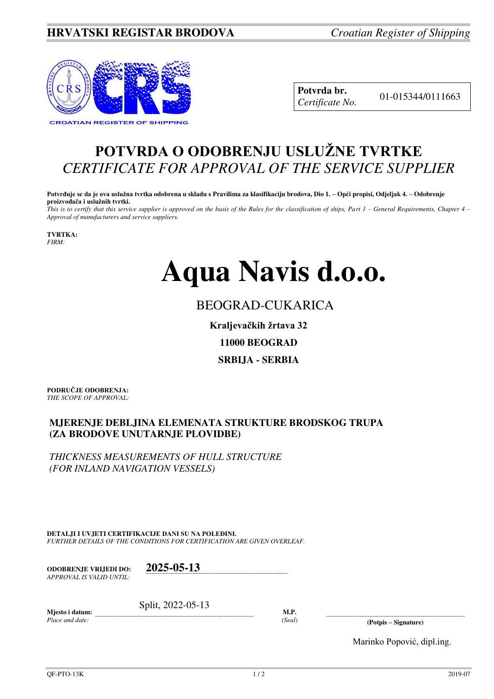### **HRVATSKI REGISTAR BRODOVA** *Croatian Register of Shipping*



**Potvrda br.** 01-015344/0111663 *Certificate No.* 

## **POTVRDA O ODOBRENJU USLUŽNE TVRTKE** *CERTIFICATE FOR APPROVAL OF THE SERVICE SUPPLIER*

**Potvrđuje se da je ova uslužna tvrtka odobrena u skladu s Pravilima za klasifikaciju brodova, Dio 1. – Opći propisi, Odjeljak 4. – Odobrenje proizvođača i uslužnih tvrtki.**

*This is to certify that this service supplier is approved on the basis of the Rules for the classification of ships, Part 1 – General Requirements, Chapter 4 – Approval of manufacturers and service suppliers.* 

**TVRTKA:** *FIRM:*

# **Aqua Navis d.o.o.**

## BEOGRAD-CUKARICA

**Kraljevačkih žrtava 32**

**11000 BEOGRAD** 

**SRBIJA - SERBIA** 

**PODRUČJE ODOBRENJA:** *THE SCOPE OF APPROVAL:* 

#### **MJERENJE DEBLJINA ELEMENATA STRUKTURE BRODSKOG TRUPA (ZA BRODOVE UNUTARNJE PLOVIDBE)**

*THICKNESS MEASUREMENTS OF HULL STRUCTURE (FOR INLAND NAVIGATION VESSELS)*

**DETALJI I UVJETI CERTIFIKACIJE DANI SU NA POLEĐINI.** *FURTHER DETAILS OF THE CONDITIONS FOR CERTIFICATION ARE GIVEN OVERLEAF.* 

**ODOBRENJE VRIJEDI DO: 2025-05-13** *APPROVAL IS VALID UNTIL:*

Split, 2022-05-13

**Mjesto i datum:**  *Place and date:* 

**M.P.** 

*(Seal)* **(Potpis – Signature)** 

Marinko Popović, dipl.ing.